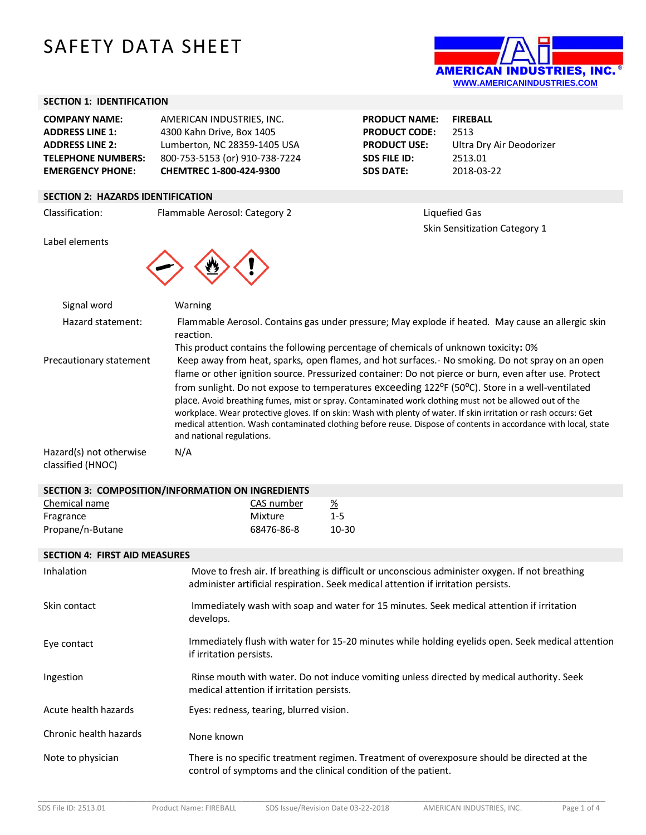# SAFETY DATA SHEET



# **SECTION 1: IDENTIFICATION**

| <b>COMPANY NAME:</b>      | AMERICAN INDUSTRIES. INC.      |
|---------------------------|--------------------------------|
| <b>ADDRESS LINE 1:</b>    | 4300 Kahn Drive, Box 1405      |
| <b>ADDRESS LINE 2:</b>    | Lumberton, NC 28359-1405 USA   |
| <b>TELEPHONE NUMBERS:</b> | 800-753-5153 (or) 910-738-7224 |
| <b>EMERGENCY PHONE:</b>   | CHEMTREC 1-800-424-9300        |

**PRODUCT NAME: FIREBALL PRODUCT CODE:** 2513 **PRODUCT USE:** Ultra Dry Air Deodorizer **SDS FILE ID:** 2513.01 **SDS DATE:** 2018-03-22

Skin Sensitization Category 1

# **SECTION 2: HAZARDS IDENTIFICATION**

Classification: Flammable Aerosol: Category 2 Liquefied Gas





| Signal word                                                          | Warning                                                                                                                                                                                                                                                                                                                                                                                                                                          |
|----------------------------------------------------------------------|--------------------------------------------------------------------------------------------------------------------------------------------------------------------------------------------------------------------------------------------------------------------------------------------------------------------------------------------------------------------------------------------------------------------------------------------------|
| Hazard statement:                                                    | Flammable Aerosol. Contains gas under pressure; May explode if heated. May cause an allergic skin<br>reaction.                                                                                                                                                                                                                                                                                                                                   |
|                                                                      | This product contains the following percentage of chemicals of unknown toxicity: 0%                                                                                                                                                                                                                                                                                                                                                              |
| Precautionary statement                                              | Keep away from heat, sparks, open flames, and hot surfaces.- No smoking. Do not spray on an open<br>flame or other ignition source. Pressurized container: Do not pierce or burn, even after use. Protect<br>from sunlight. Do not expose to temperatures exceeding 122 <sup>o</sup> F (50 <sup>o</sup> C). Store in a well-ventilated<br>place. Avoid breathing fumes, mist or spray. Contaminated work clothing must not be allowed out of the |
|                                                                      | workplace. Wear protective gloves. If on skin: Wash with plenty of water. If skin irritation or rash occurs: Get<br>medical attention. Wash contaminated clothing before reuse. Dispose of contents in accordance with local, state<br>and national regulations.                                                                                                                                                                                 |
| Hazard(s) not otherwise<br>$\sim$ $\sim$ $\sim$ $\sim$ $\sim$ $\sim$ | N/A                                                                                                                                                                                                                                                                                                                                                                                                                                              |

| classified (HNOC) |  |
|-------------------|--|

# **SECTION 3: COMPOSITION/INFORMATION ON INGREDIENTS**

| Chemical name    | CAS number | <u>%</u> |
|------------------|------------|----------|
| Fragrance        | Mixture    | $1 - 5$  |
| Propane/n-Butane | 68476-86-8 | 10-30    |

# **SECTION 4: FIRST AID MEASURES**

| Inhalation             | Move to fresh air. If breathing is difficult or unconscious administer oxygen. If not breathing<br>administer artificial respiration. Seek medical attention if irritation persists. |
|------------------------|--------------------------------------------------------------------------------------------------------------------------------------------------------------------------------------|
| Skin contact           | Immediately wash with soap and water for 15 minutes. Seek medical attention if irritation<br>develops.                                                                               |
| Eye contact            | Immediately flush with water for 15-20 minutes while holding eyelids open. Seek medical attention<br>if irritation persists.                                                         |
| Ingestion              | Rinse mouth with water. Do not induce vomiting unless directed by medical authority. Seek<br>medical attention if irritation persists.                                               |
| Acute health hazards   | Eyes: redness, tearing, blurred vision.                                                                                                                                              |
| Chronic health hazards | None known                                                                                                                                                                           |
| Note to physician      | There is no specific treatment regimen. Treatment of overexposure should be directed at the<br>control of symptoms and the clinical condition of the patient.                        |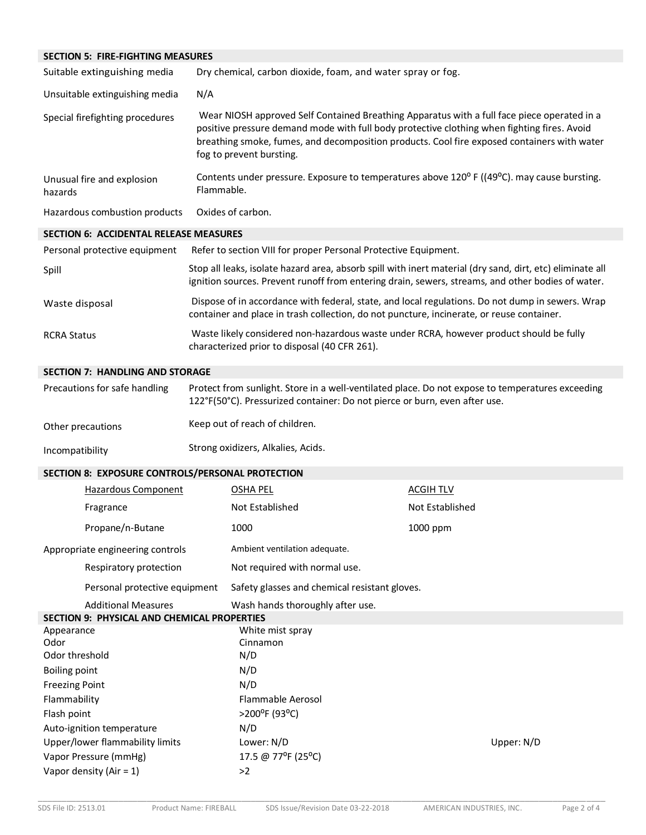| <b>SECTION 5: FIRE-FIGHTING MEASURES</b>      |                                                                                                                                                                                                                                                                                                                       |
|-----------------------------------------------|-----------------------------------------------------------------------------------------------------------------------------------------------------------------------------------------------------------------------------------------------------------------------------------------------------------------------|
| Suitable extinguishing media                  | Dry chemical, carbon dioxide, foam, and water spray or fog.                                                                                                                                                                                                                                                           |
| Unsuitable extinguishing media                | N/A                                                                                                                                                                                                                                                                                                                   |
| Special firefighting procedures               | Wear NIOSH approved Self Contained Breathing Apparatus with a full face piece operated in a<br>positive pressure demand mode with full body protective clothing when fighting fires. Avoid<br>breathing smoke, fumes, and decomposition products. Cool fire exposed containers with water<br>fog to prevent bursting. |
| Unusual fire and explosion<br>hazards         | Contents under pressure. Exposure to temperatures above 120° F ((49°C). may cause bursting.<br>Flammable.                                                                                                                                                                                                             |
| Hazardous combustion products                 | Oxides of carbon.                                                                                                                                                                                                                                                                                                     |
| <b>SECTION 6: ACCIDENTAL RELEASE MEASURES</b> |                                                                                                                                                                                                                                                                                                                       |
| Personal protective equipment                 | Refer to section VIII for proper Personal Protective Equipment.                                                                                                                                                                                                                                                       |
| Spill                                         | Stop all leaks, isolate hazard area, absorb spill with inert material (dry sand, dirt, etc) eliminate all<br>ignition sources. Prevent runoff from entering drain, sewers, streams, and other bodies of water.                                                                                                        |
| Waste disposal                                | Dispose of in accordance with federal, state, and local regulations. Do not dump in sewers. Wrap<br>container and place in trash collection, do not puncture, incinerate, or reuse container.                                                                                                                         |
| <b>RCRA Status</b>                            | Waste likely considered non-hazardous waste under RCRA, however product should be fully<br>characterized prior to disposal (40 CFR 261).                                                                                                                                                                              |
| <b>SECTION 7: HANDLING AND STORAGE</b>        |                                                                                                                                                                                                                                                                                                                       |

| Precautions for safe handling | Protect from sunlight. Store in a well-ventilated place. Do not expose to temperatures exceeding<br>122°F(50°C). Pressurized container: Do not pierce or burn, even after use. |  |
|-------------------------------|--------------------------------------------------------------------------------------------------------------------------------------------------------------------------------|--|
| Other precautions             | Keep out of reach of children.                                                                                                                                                 |  |
| Incompatibility               | Strong oxidizers, Alkalies, Acids.                                                                                                                                             |  |

# **SECTION 8: EXPOSURE CONTROLS/PERSONAL PROTECTION**

|                            | Hazardous Component                                | OSHA PEL                                      | <b>ACGIHTLV</b> |            |
|----------------------------|----------------------------------------------------|-----------------------------------------------|-----------------|------------|
|                            | Fragrance                                          | Not Established                               | Not Established |            |
|                            | Propane/n-Butane                                   | 1000                                          | 1000 ppm        |            |
|                            | Appropriate engineering controls                   | Ambient ventilation adequate.                 |                 |            |
|                            | Respiratory protection                             | Not required with normal use.                 |                 |            |
|                            | Personal protective equipment                      | Safety glasses and chemical resistant gloves. |                 |            |
|                            | <b>Additional Measures</b>                         | Wash hands thoroughly after use.              |                 |            |
|                            | <b>SECTION 9: PHYSICAL AND CHEMICAL PROPERTIES</b> |                                               |                 |            |
| Appearance                 |                                                    | White mist spray                              |                 |            |
| Odor                       |                                                    | Cinnamon                                      |                 |            |
| Odor threshold             |                                                    | N/D                                           |                 |            |
| <b>Boiling point</b>       |                                                    | N/D                                           |                 |            |
| <b>Freezing Point</b>      |                                                    | N/D                                           |                 |            |
| Flammability               |                                                    | <b>Flammable Aerosol</b>                      |                 |            |
| Flash point                |                                                    | >200°F (93°C)                                 |                 |            |
|                            | Auto-ignition temperature                          | N/D                                           |                 |            |
|                            | Upper/lower flammability limits                    | Lower: N/D                                    |                 | Upper: N/D |
| Vapor Pressure (mmHg)      |                                                    | 17.5 @ 77°F (25°C)                            |                 |            |
| Vapor density (Air = $1$ ) |                                                    | >2                                            |                 |            |
|                            |                                                    |                                               |                 |            |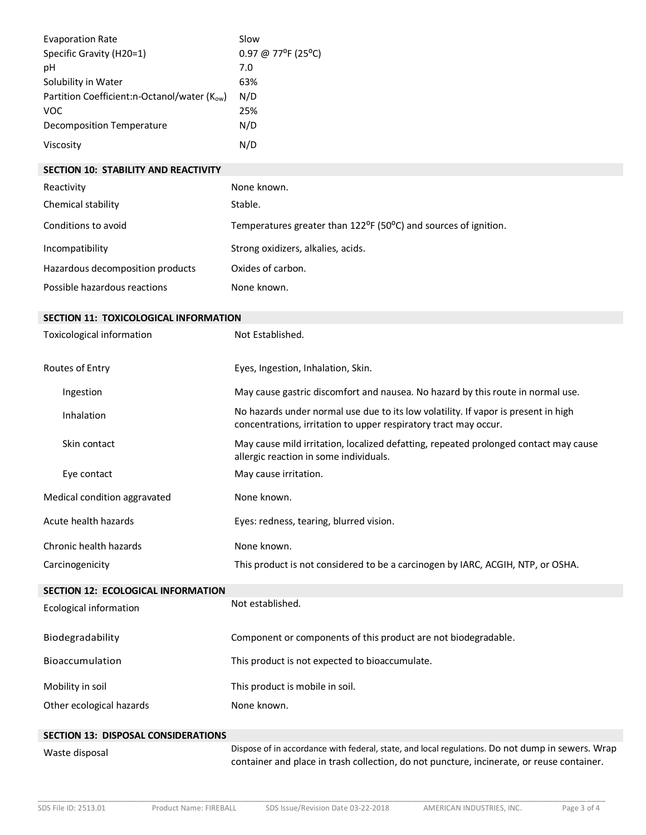| <b>Evaporation Rate</b><br>Specific Gravity (H20=1)<br>pH<br>Solubility in Water<br>Partition Coefficient:n-Octanol/water (Kow)<br><b>VOC</b><br><b>Decomposition Temperature</b><br>Viscosity | Slow<br>0.97 @ 77°F (25°C)<br>7.0<br>63%<br>N/D<br>25%<br>N/D<br>N/D                                                                                                                          |
|------------------------------------------------------------------------------------------------------------------------------------------------------------------------------------------------|-----------------------------------------------------------------------------------------------------------------------------------------------------------------------------------------------|
| <b>SECTION 10: STABILITY AND REACTIVITY</b>                                                                                                                                                    |                                                                                                                                                                                               |
| Reactivity                                                                                                                                                                                     | None known.                                                                                                                                                                                   |
| Chemical stability                                                                                                                                                                             | Stable.                                                                                                                                                                                       |
| Conditions to avoid                                                                                                                                                                            | Temperatures greater than 122°F (50°C) and sources of ignition.                                                                                                                               |
| Incompatibility                                                                                                                                                                                | Strong oxidizers, alkalies, acids.                                                                                                                                                            |
| Hazardous decomposition products                                                                                                                                                               | Oxides of carbon.                                                                                                                                                                             |
| Possible hazardous reactions                                                                                                                                                                   | None known.                                                                                                                                                                                   |
| SECTION 11: TOXICOLOGICAL INFORMATION                                                                                                                                                          |                                                                                                                                                                                               |
| Toxicological information                                                                                                                                                                      | Not Established.                                                                                                                                                                              |
| Routes of Entry                                                                                                                                                                                | Eyes, Ingestion, Inhalation, Skin.                                                                                                                                                            |
| Ingestion                                                                                                                                                                                      | May cause gastric discomfort and nausea. No hazard by this route in normal use.                                                                                                               |
| Inhalation                                                                                                                                                                                     | No hazards under normal use due to its low volatility. If vapor is present in high<br>concentrations, irritation to upper respiratory tract may occur.                                        |
| Skin contact                                                                                                                                                                                   | May cause mild irritation, localized defatting, repeated prolonged contact may cause<br>allergic reaction in some individuals.                                                                |
| Eye contact                                                                                                                                                                                    | May cause irritation.                                                                                                                                                                         |
| Medical condition aggravated                                                                                                                                                                   | None known.                                                                                                                                                                                   |
| Acute health hazards                                                                                                                                                                           | Eyes: redness, tearing, blurred vision.                                                                                                                                                       |
| Chronic health hazards                                                                                                                                                                         | None known.                                                                                                                                                                                   |
| Carcinogenicity                                                                                                                                                                                | This product is not considered to be a carcinogen by IARC, ACGIH, NTP, or OSHA.                                                                                                               |
| SECTION 12: ECOLOGICAL INFORMATION                                                                                                                                                             |                                                                                                                                                                                               |
| <b>Ecological information</b>                                                                                                                                                                  | Not established.                                                                                                                                                                              |
| Biodegradability                                                                                                                                                                               | Component or components of this product are not biodegradable.                                                                                                                                |
| Bioaccumulation                                                                                                                                                                                | This product is not expected to bioaccumulate.                                                                                                                                                |
| Mobility in soil                                                                                                                                                                               | This product is mobile in soil.                                                                                                                                                               |
| Other ecological hazards                                                                                                                                                                       | None known.                                                                                                                                                                                   |
| <b>SECTION 13: DISPOSAL CONSIDERATIONS</b>                                                                                                                                                     |                                                                                                                                                                                               |
| Waste disposal                                                                                                                                                                                 | Dispose of in accordance with federal, state, and local regulations. Do not dump in sewers. Wrap<br>container and place in trash collection, do not puncture, incinerate, or reuse container. |